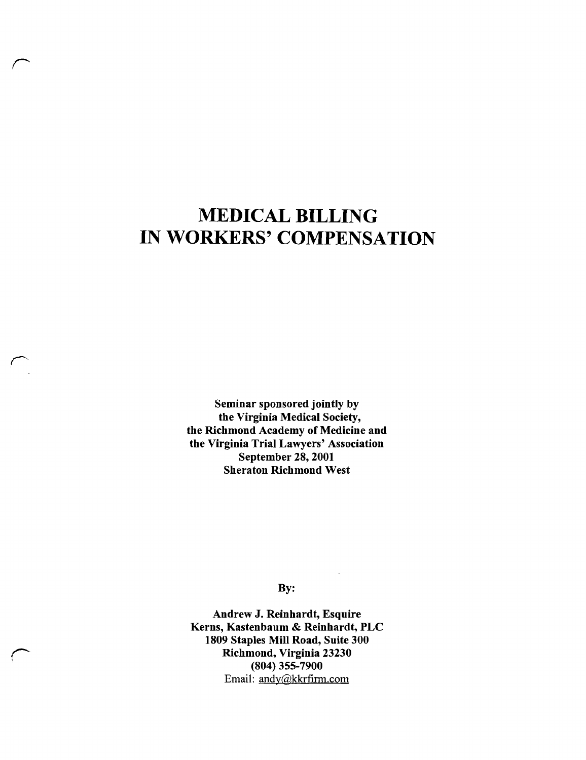# **MEDICAL BILLING IN WORKERS' COMPENSATION**

*r* 

> Seminar sponsored jointly by the Virginia Medical Society, the Richmond Academy of Medicine and the Virginia Trial Lawyers' Association September 28, 2001 Sheraton Richmond West

> > By:

Andrew J. Reinhardt, Esquire Kerns, Kastenbaum & Reinhardt, PLC 1809 Staples Mill Road, Suite 300 Richmond, Virginia 23230 (804) 355-7900 Email: andy@kkrfirm.com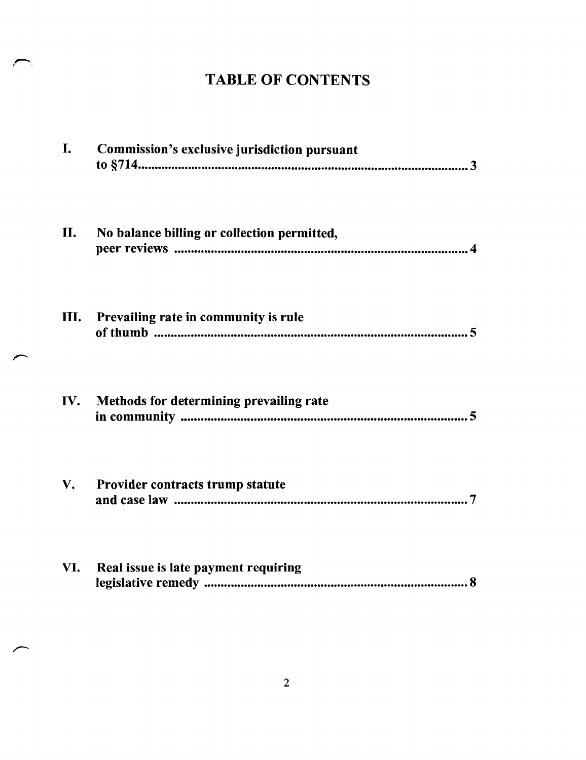## TABLE OF CONTENTS

| I.                     | Commission's exclusive jurisdiction pursuant |
|------------------------|----------------------------------------------|
| II.                    | No balance billing or collection permitted,  |
| Ш.                     | Prevailing rate in community is rule         |
| IV.                    | Methods for determining prevailing rate      |
| $\mathbf{V}_{\bullet}$ | Provider contracts trump statute             |
| VI.                    | Real issue is late payment requiring<br>8    |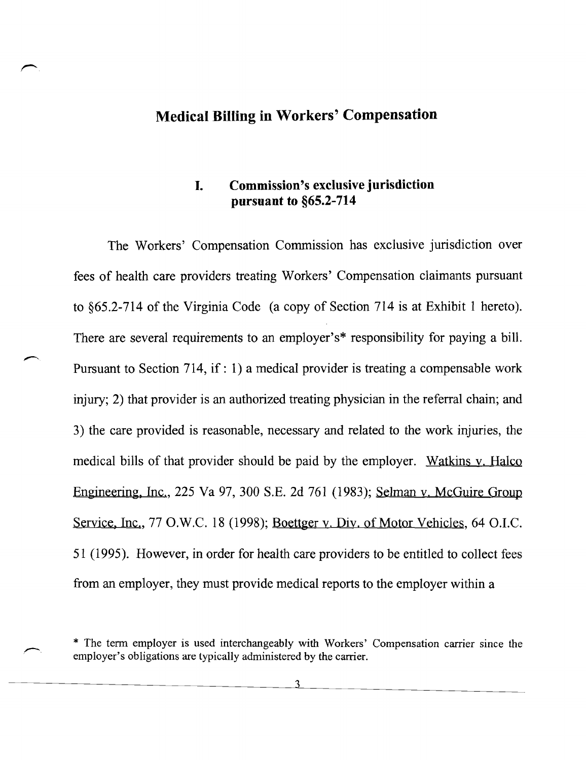#### **Medical Billing in Workers' Compensation**

### **I. Commission's exclusive jurisdiction pursuant to §65.2-714**

The Workers' Compensation Commission has exclusive jurisdiction over fees of health care providers treating Workers' Compensation claimants pursuant to §65.2-7l4 of the Virginia Code (a copy of Section 714 is at Exhibit 1 hereto). There are several requirements to an employer's\* responsibility for paying a bill. Pursuant to Section 714, if: 1) a medical provider is treating a compensable work injury; 2) that provider is an authorized treating physician in the referral chain; and 3) the care provided is reasonable, necessary and related to the work injuries, the medical bills of that provider should be paid by the employer. Watkins v. Halco Engineering, Inc., 225 Va 97, 300 S.E. 2d 761 (1983); Selman v. McGuire Group Service, Inc., 77 O.W.C. 18 (1998); Boettger y. Div. of Motor Vehicles, 64 O.I.C. 51 (1995). However, in order for health care providers to be entitled to collect fees from an employer, they must provide medical reports to the employer within a

\* The term employer is used interchangeably with Workers' Compensation carrier since the employer's obligations are typically administered by the carrier.

 $\mathbf 3$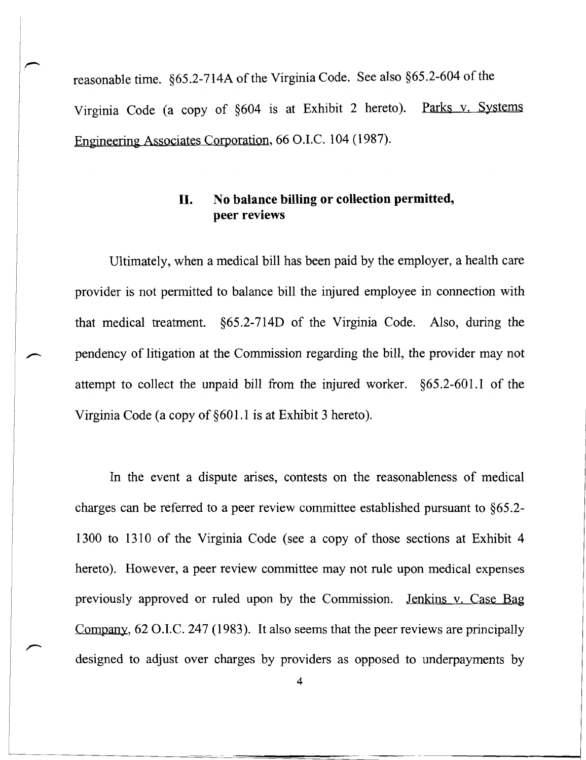reasonable time. §65.2-7l4A of the Virginia Code. See also §65.2-604 of the Virginia Code (a copy of §604 is at Exhibit 2 hereto). Parks v. Systems Engineering Associates Corporation, 66 O.I.C. 104 (1987).

#### **II. No balance billing or collection permitted, peer reviews**

Ultimately, when a medical bill has been paid by the employer, a health care provider is not permitted to balance bill the injured employee in connection with that medical treatment. §65.2-7l4D of the Virginia Code. Also, during the pendency of litigation at the Commission regarding the bill, the provider may not attempt to collect the unpaid bill from the injured worker. §65.2-601.1 of the Virginia Code (a copy of§601.1 is at Exhibit 3 hereto).

In the event a dispute arises, contests on the reasonableness of medical charges can be referred to a peer review committee established pursuant to §65.2 1300 to 1310 of the Virginia Code (see a copy of those sections at Exhibit 4 hereto). However, a peer review committee may not rule upon medical expenses previously approved or ruled upon by the Commission. Jenkins v. Case Bag Company,  $62$  O.I.C. 247 (1983). It also seems that the peer reviews are principally designed to adjust over charges by providers as opposed to underpayments by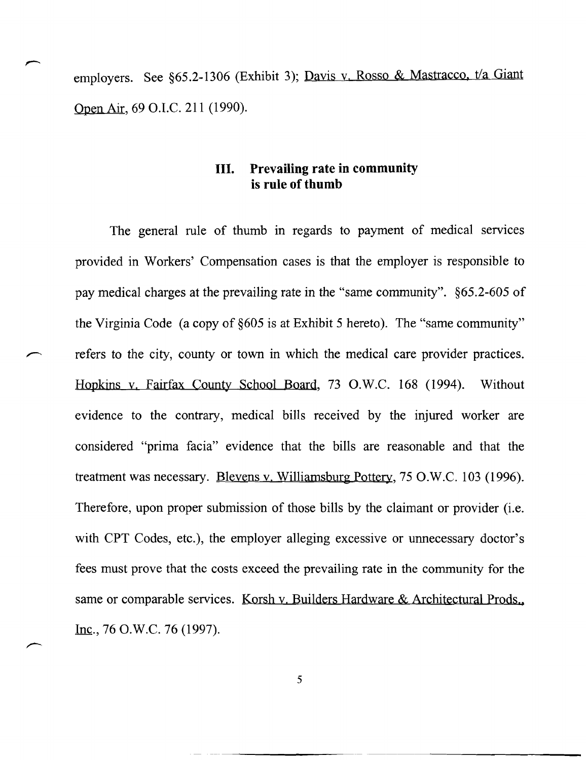employers. See §65.2-1306 (Exhibit 3); Davis v. Rosso & Mastracco, t/a Giant Open Air, 69 O.LC. 211 (1990).

#### **III. Prevailing rate in community is rule of thumb**

The general rule of thumb in regards to payment of medical services provided in Workers' Compensation cases is that the employer is responsible to pay medical charges at the prevailing rate in the "same community". §65.2-605 of the Virginia Code (a copy of §605 is at Exhibit 5 hereto). The "same community" refers to the city, county or town in which the medical care provider practices. Hopkins y. Fairfax County School Board, 73 O.W.C. 168 (1994). Without evidence to the contrary, medical bills received by the injured worker are considered "prima facia" evidence that the bills are reasonable and that the treatment was necessary. Blevens y. Williamsburg Pottery, 75 O.W.C. 103 (1996). Therefore, upon proper submission of those bills by the claimant or provider (i.e. with CPT Codes, etc.), the employer alleging excessive or unnecessary doctor's fees must prove that the costs exceed the prevailing rate in the community for the same or comparable services. Korsh v. Builders Hardware & Architectural Prods., Inc., 76 O.W.C. 76 (1997).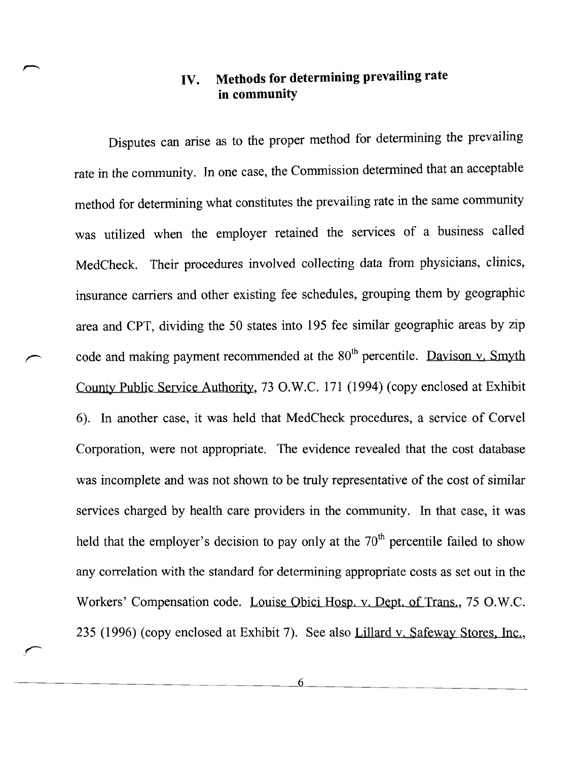### **IV. Methods for determining prevailing rate in community**

Disputes can arise as to the proper method for determining the prevailing rate in the community. In one case, the Commission determined that an acceptable method for determining what constitutes the prevailing rate in the same community was utilized when the employer retained the services of a business called MedCheck. Their procedures involved collecting data from physicians, clinics, insurance carriers and other existing fee schedules, grouping them by geographic area and CPT, dividing the 50 states into 195 fee similar geographic areas by zip code and making payment recommended at the  $80<sup>th</sup>$  percentile. Dayison v. Smyth County Public Service Authority, 73 O.W.C. 171 (1994) (copy enclosed at Exhibit 6). In another case, it was held that MedCheck procedures, a service of Corve1 Corporation, were not appropriate. The evidence revealed that the cost database was incomplete and was not shown to be truly representative of the cost of similar services charged by health care providers in the community. In that case, it was held that the employer's decision to pay only at the  $70<sup>th</sup>$  percentile failed to show any correlation with the standard for determining appropriate costs as set out in the Workers' Compensation code. Louise Obici Hosp. v. Dept. of Trans., 75 O.W.C. 235 (1996) (copy enclosed at Exhibit 7). See also Lillard v. Safeway Stores, Inc.,

> 6  $\overline{a}$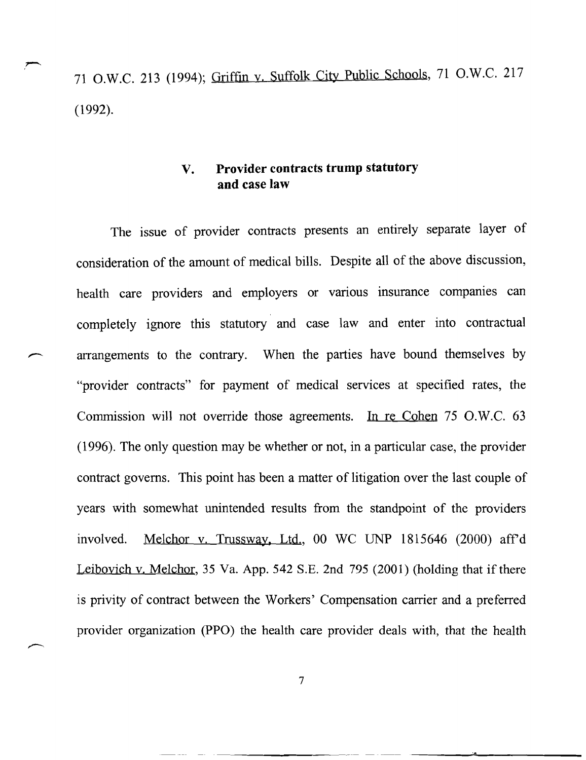71 O.W.C. 213 (1994); Griffin y. Suffolk City Public Schools, 71 O.W.C. 217 (1992).

#### **v. Provider contracts trump statutory and** case **law**

The issue of provider contracts presents an entirely separate layer of consideration of the amount of medical bills. Despite all of the above discussion, health care providers and employers or various insurance companies can completely ignore this statutory and case law and enter into contractual arrangements to the contrary. When the parties have bound themselves by "provider contracts" for payment of medical services at specified rates, the Commission will not override those agreements. In re Cohen  $75$  O.W.C.  $63$ (1996). The only question may be whether or not, in a particular case, the provider contract governs. This point has been a matter of litigation over the last couple of years with somewhat unintended results from the standpoint of the providers involved. Melchor y. Trussway, Ltd., 00 WC UNP 1815646 (2000) aff'd Leiboyich y. Melchor, 35 Va. App. 542 S.E. 2nd 795 (2001) (holding that if there is privity of contract between the Workers' Compensation carrier and a preferred provider organization (PPO) the health care provider deals with, that the health

7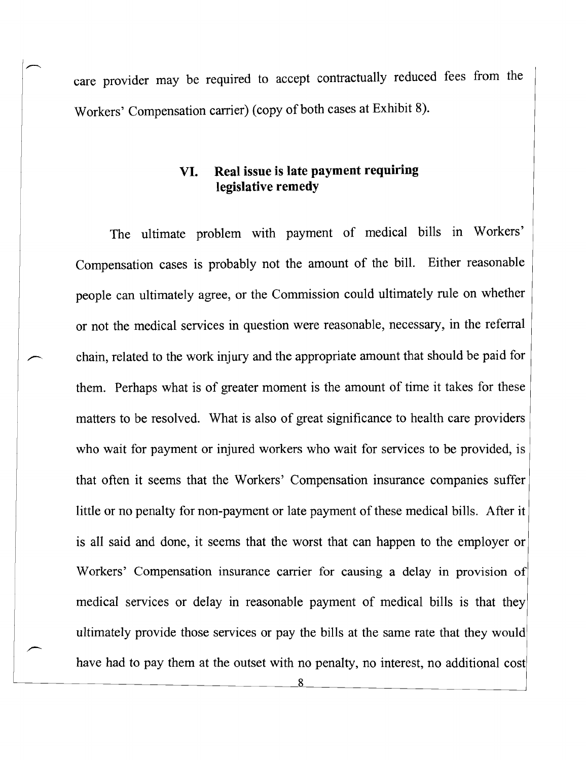care provider may be required to accept contractually reduced fees from the Workers' Compensation carrier) (copy of both cases at Exhibit 8).

#### **VI. Real issue is late payment requiring legislative remedy**

The ultimate problem with payment of medical bills in Workers' Compensation cases is probably not the amount of the bill. Either reasonable people can ultimately agree, or the Commission could ultimately rule on whether or not the medical services in question were reasonable, necessary, in the referral chain, related to the work injury and the appropriate amount that should be paid for them. Perhaps what is of greater moment is the amount of time it takes for these matters to be resolved. What is also of great significance to health care providers who wait for payment or injured workers who wait for services to be provided, is that often it seems that the Workers' Compensation insurance companies suffer little or no penalty for non-payment or late payment of these medical bills. After it is all said and done, it seems that the worst that can happen to the employer or Workers' Compensation insurance carrier for causing a delay in provision of medical services or delay in reasonable payment of medical bills is that they ultimately provide those services or pay the bills at the same rate that they would have had to pay them at the outset with no penalty, no interest, no additional cost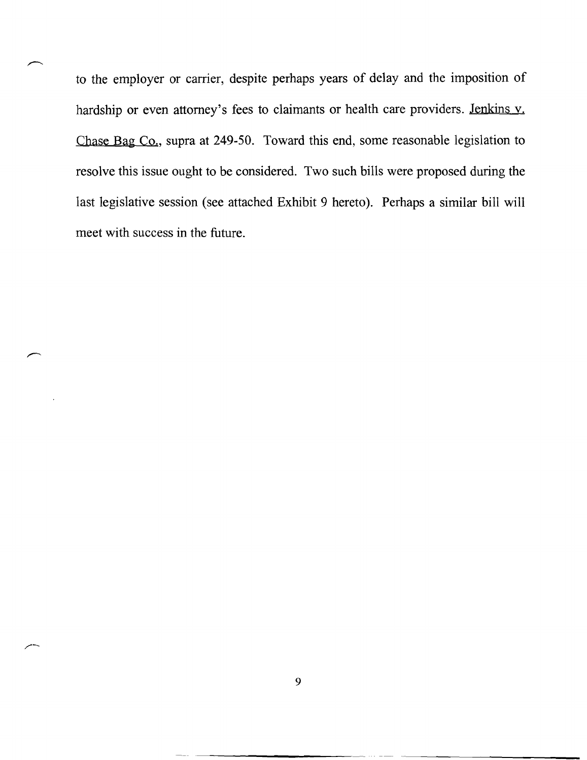to the employer or carrier, despite perhaps years of delay and the imposition of hardship or even attorney's fees to claimants or health care providers. Jenkins v. Chase Bag Co., supra at 249-50. Toward this end, some reasonable legislation to resolve this issue ought to be considered. Two such bills were proposed during the last legislative session (see attached Exhibit 9 hereto). Perhaps a similar bill will meet with success in the future.